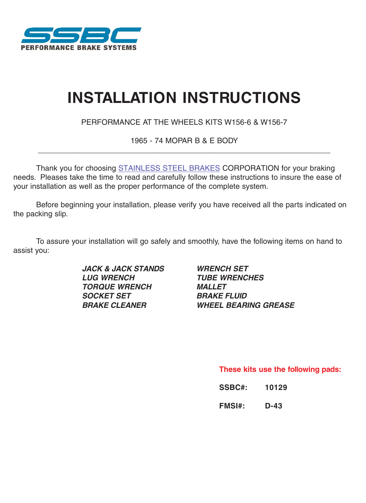

# **INSTALLATION INSTRUCTIONS**

PERFORMANCE AT THE WHEELS KITS W156-6 & W156-7

1965 - 74 MOPAR B & E BODY \_\_\_\_\_\_\_\_\_\_\_\_\_\_\_\_\_\_\_\_\_\_\_\_\_\_\_\_\_\_\_\_\_\_\_\_\_\_\_\_\_\_\_\_\_\_\_\_\_\_\_\_\_\_\_\_\_\_\_\_\_\_\_\_\_\_\_\_\_

Thank you for choosing [STAINLESS STEEL BRAKES](http://www.carid.com/performance-brake-kits.html) CORPORATION for your braking needs. Pleases take the time to read and carefully follow these instructions to insure the ease of your installation as well as the proper performance of the complete system.

the packing slip. Before beginning your installation, please verify you have received all the parts indicated on

To assure your installation will go safely and smoothly, have the following items on hand to assist you:

> **JACK & JACK STANDS WRENCH SET LUG WRENCH TUBE WRENCHES TORQUE WRENCH MALLET SOCKET SET BRAKE FLUID**

**BRAKE CLEANER WHEEL BEARING GREASE**

**These kits use the following pads:**

| <b>SSBC#:</b> | 10129 |
|---------------|-------|
|---------------|-------|

**FMSI#: D-43**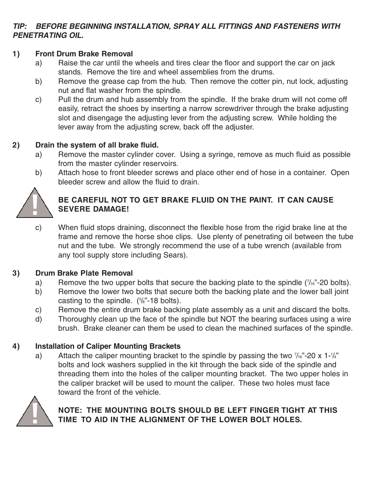#### **TIP: BEFORE BEGINNING INSTALLATION, SPRAY ALL FITTINGS AND FASTENERS WITH PENETRATING OIL.**

#### **1) Front Drum Brake Removal**

- a) Raise the car until the wheels and tires clear the floor and support the car on jack stands. Remove the tire and wheel assemblies from the drums.
- b) Remove the grease cap from the hub. Then remove the cotter pin, nut lock, adjusting nut and flat washer from the spindle.
- c) Pull the drum and hub assembly from the spindle. If the brake drum will not come off easily, retract the shoes by inserting a narrow screwdriver through the brake adjusting slot and disengage the adjusting lever from the adjusting screw. While holding the lever away from the adjusting screw, back off the adjuster.

#### **2) Drain the system of all brake fluid.**

- a) Remove the master cylinder cover. Using a syringe, remove as much fluid as possible from the master cylinder reservoirs.
- b) Attach hose to front bleeder screws and place other end of hose in a container. Open bleeder screw and allow the fluid to drain.



# **BE CAREFUL NOT TO GET BRAKE FLUID ON THE PAINT. IT CAN CAUSE SEVERE DAMAGE!**

c) When fluid stops draining, disconnect the flexible hose from the rigid brake line at the frame and remove the horse shoe clips. Use plenty of penetrating oil between the tube nut and the tube. We strongly recommend the use of a tube wrench (available from any tool supply store including Sears).

#### **3) Drum Brake Plate Removal**

- a) Remove the two upper bolts that secure the backing plate to the spindle  $(7/16)^2$ -20 bolts).
- b) Remove the lower two bolts that secure both the backing plate and the lower ball joint casting to the spindle.  $(5/8)$ <sup>2</sup>-18 bolts).
- c) Remove the entire drum brake backing plate assembly as a unit and discard the bolts.
- d) Thoroughly clean up the face of the spindle but NOT the bearing surfaces using a wire brush. Brake cleaner can them be used to clean the machined surfaces of the spindle.

# **4) Installation of Caliper Mounting Brackets**

a) Attach the caliper mounting bracket to the spindle by passing the two  $\frac{7}{16}$  -20 x 1- $\frac{1}{4}$ bolts and lock washers supplied in the kit through the back side of the spindle and threading them into the holes of the caliper mounting bracket. The two upper holes in the caliper bracket will be used to mount the caliper. These two holes must face toward the front of the vehicle.



# **NOTE: THE MOUNTING BOLTS SHOULD BE LEFT FINGER TIGHT AT THIS TIME TO AID IN THE ALIGNMENT OF THE LOWER BOLT HOLES.**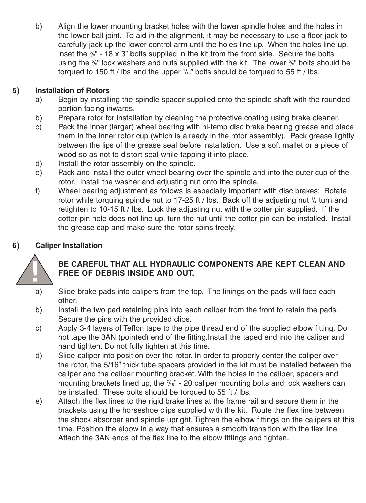b) Align the lower mounting bracket holes with the lower spindle holes and the holes in the lower ball joint. To aid in the alignment, it may be necessary to use a floor jack to carefully jack up the lower control arm until the holes line up. When the holes line up, inset the  $\frac{5}{8}$ " - 18 x 3" bolts supplied in the kit from the front side. Secure the bolts using the 5%" lock washers and nuts supplied with the kit. The lower 5%" bolts should be torqued to 150 ft / lbs and the upper  $\frac{7}{16}$ " bolts should be torqued to 55 ft / lbs.

# **5) Installation of Rotors**

- a) Begin by installing the spindle spacer supplied onto the spindle shaft with the rounded portion facing inwards.
- b) Prepare rotor for installation by cleaning the protective coating using brake cleaner.
- c) Pack the inner (larger) wheel bearing with hi-temp disc brake bearing grease and place them in the inner rotor cup (which is already in the rotor assembly). Pack grease lightly between the lips of the grease seal before installation. Use a soft mallet or a piece of wood so as not to distort seal while tapping it into place.
- d) Install the rotor assembly on the spindle.
- e) Pack and install the outer wheel bearing over the spindle and into the outer cup of the rotor. Install the washer and adjusting nut onto the spindle.
- f) Wheel bearing adjustment as follows is especially important with disc brakes: Rotate rotor while torquing spindle nut to 17-25 ft / lbs. Back off the adjusting nut  $\frac{1}{2}$  turn and retighten to 10-15 ft / lbs. Lock the adjusting nut with the cotter pin supplied. If the cotter pin hole does not line up, turn the nut until the cotter pin can be installed. Install the grease cap and make sure the rotor spins freely.

# **6) Caliper Installation**



# **BE CAREFUL THAT ALL HYDRAULIC COMPONENTS ARE KEPT CLEAN AND FREE OF DEBRIS INSIDE AND OUT.**

- a) Slide brake pads into calipers from the top. The linings on the pads will face each other.
- b) Install the two pad retaining pins into each caliper from the front to retain the pads. Secure the pins with the provided clips.
- c) Apply 3-4 layers of Teflon tape to the pipe thread end of the supplied elbow fitting. Do not tape the 3AN (pointed) end of the fitting.Install the taped end into the caliper and hand tighten. Do not fully tighten at this time.
- d) Slide caliper into position over the rotor. In order to properly center the caliper over the rotor, the 5/16" thick tube spacers provided in the kit must be installed between the caliper and the caliper mounting bracket. With the holes in the caliper, spacers and mounting brackets lined up, the  $\frac{7}{16}$ " - 20 caliper mounting bolts and lock washers can be installed. These bolts should be torqued to 55 ft / lbs.
- e) Attach the flex lines to the rigid brake lines at the frame rail and secure them in the brackets using the horseshoe clips supplied with the kit. Route the flex line between the shock absorber and spindle upright. Tighten the elbow fittings on the calipers at this time. Position the elbow in a way that ensures a smooth transition with the flex line. Attach the 3AN ends of the flex line to the elbow fittings and tighten.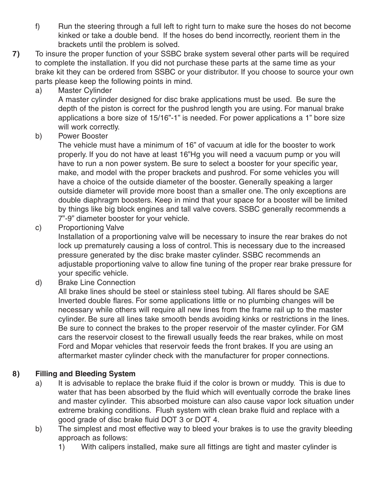- f) Run the steering through a full left to right turn to make sure the hoses do not become kinked or take a double bend. If the hoses do bend incorrectly, reorient them in the brackets until the problem is solved.
- **7)** To insure the proper function of your SSBC brake system several other parts will be required to complete the installation. If you did not purchase these parts at the same time as your brake kit they can be ordered from SSBC or your distributor. If you choose to source your own parts please keep the following points in mind.
	- a) Master Cylinder

A master cylinder designed for disc brake applications must be used. Be sure the depth of the piston is correct for the pushrod length you are using. For manual brake applications a bore size of 15/16"-1" is needed. For power applications a 1" bore size will work correctly.

b) Power Booster

The vehicle must have a minimum of 16" of vacuum at idle for the booster to work properly. If you do not have at least 16"Hg you will need a vacuum pump or you will have to run a non power system. Be sure to select a booster for your specific year, make, and model with the proper brackets and pushrod. For some vehicles you will have a choice of the outside diameter of the booster. Generally speaking a larger outside diameter will provide more boost than a smaller one. The only exceptions are double diaphragm boosters. Keep in mind that your space for a booster will be limited by things like big block engines and tall valve covers. SSBC generally recommends a 7"-9" diameter booster for your vehicle.

c) Proportioning Valve

Installation of a proportioning valve will be necessary to insure the rear brakes do not lock up prematurely causing a loss of control. This is necessary due to the increased pressure generated by the disc brake master cylinder. SSBC recommends an adjustable proportioning valve to allow fine tuning of the proper rear brake pressure for your specific vehicle.

d) Brake Line Connection

All brake lines should be steel or stainless steel tubing. All flares should be SAE Inverted double flares. For some applications little or no plumbing changes will be necessary while others will require all new lines from the frame rail up to the master cylinder. Be sure all lines take smooth bends avoiding kinks or restrictions in the lines. Be sure to connect the brakes to the proper reservoir of the master cylinder. For GM cars the reservoir closest to the firewall usually feeds the rear brakes, while on most Ford and Mopar vehicles that reservoir feeds the front brakes. If you are using an aftermarket master cylinder check with the manufacturer for proper connections.

# **8) Filling and Bleeding System**

- a) It is advisable to replace the brake fluid if the color is brown or muddy. This is due to water that has been absorbed by the fluid which will eventually corrode the brake lines and master cylinder. This absorbed moisture can also cause vapor lock situation under extreme braking conditions. Flush system with clean brake fluid and replace with a good grade of disc brake fluid DOT 3 or DOT 4.
- b) The simplest and most effective way to bleed your brakes is to use the gravity bleeding approach as follows:
	- 1) With calipers installed, make sure all fittings are tight and master cylinder is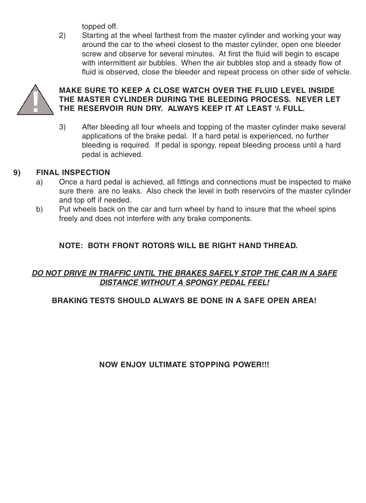topped off.

2) Starting at the wheel farthest from the master cylinder and working your way around the car to the wheel closest to the master cylinder, open one bleeder screw and observe for several minutes. At first the fluid will begin to escape with intermittent air bubbles. When the air bubbles stop and a steady flow of fluid is observed, close the bleeder and repeat process on other side of vehicle.



# **MAKE SURE TO KEEP A CLOSE WATCH OVER THE FLUID LEVEL INSIDE THE MASTER CYLINDER DURING THE BLEEDING PROCESS. NEVER LET THE RESERVOIR RUN DRY. ALWAYS KEEP IT AT LEAST 1 /3 FULL.**

3) After bleeding all four wheels and topping of the master cylinder make several applications of the brake pedal. If a hard petal is experienced, no further bleeding is required. If pedal is spongy, repeat bleeding process until a hard pedal is achieved.

# **9) FINAL INSPECTION**

- a) Once a hard pedal is achieved, all fittings and connections must be inspected to make sure there are no leaks. Also check the level in both reservoirs of the master cylinder and top off if needed.
- b) Put wheels back on the car and turn wheel by hand to insure that the wheel spins freely and does not interfere with any brake components.

# **NOTE: BOTH FRONT ROTORS WILL BE RIGHT HAND THREAD.**

#### **DO NOT DRIVE IN TRAFFIC UNTIL THE BRAKES SAFELY STOP THE CAR IN A SAFE DISTANCE WITHOUT A SPONGY PEDAL FEEL!**

# **BRAKING TESTS SHOULD ALWAYS BE DONE IN A SAFE OPEN AREA!**

# **NOW ENJOY ULTIMATE STOPPING POWER!!!**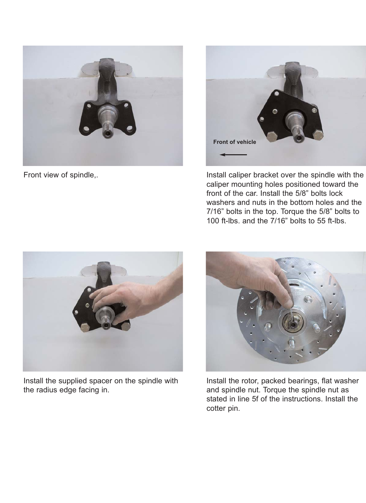



Front view of spindle,. The spindle of spindle, install caliper bracket over the spindle with the caliper mounting holes positioned toward the front of the car. Install the 5/8" bolts lock washers and nuts in the bottom holes and the 7/16" bolts in the top. Torque the 5/8" bolts to 100 ft-lbs. and the 7/16" bolts to 55 ft-lbs.



Install the supplied spacer on the spindle with the radius edge facing in.



Install the rotor, packed bearings, flat washer and spindle nut. Torque the spindle nut as stated in line 5f of the instructions. Install the cotter pin.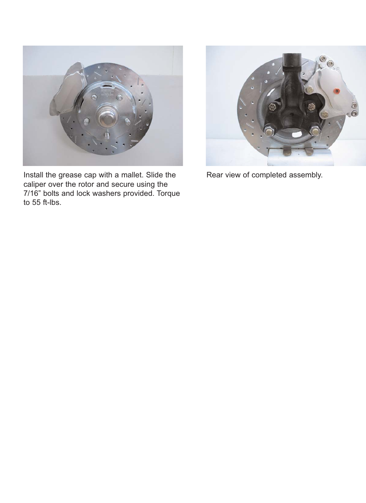

Install the grease cap with a mallet. Slide the caliper over the rotor and secure using the 7/16" bolts and lock washers provided. Torque to 55 ft-lbs.



Rear view of completed assembly.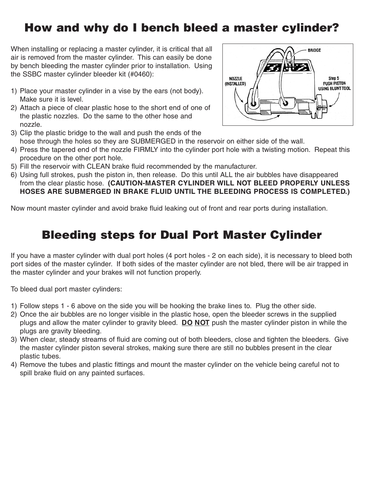# **How and why do I bench bleed a master cylinder?**

When installing or replacing a master cylinder, it is critical that all air is removed from the master cylinder. This can easily be done by bench bleeding the master cylinder prior to installation. Using the SSBC master cylinder bleeder kit (#0460):

- 1) Place your master cylinder in a vise by the ears (not body). Make sure it is level.
- 2) Attach a piece of clear plastic hose to the short end of one of the plastic nozzles. Do the same to the other hose and nozzle.



- 3) Clip the plastic bridge to the wall and push the ends of the hose through the holes so they are SUBMERGED in the reservoir on either side of the wall.
- 4) Press the tapered end of the nozzle FIRMLY into the cylinder port hole with a twisting motion. Repeat this procedure on the other port hole.
- 5) Fill the reservoir with CLEAN brake fluid recommended by the manufacturer.
- 6) Using full strokes, push the piston in, then release. Do this until ALL the air bubbles have disappeared from the clear plastic hose. **(CAUTION-MASTER CYLINDER WILL NOT BLEED PROPERLY UNLESS HOSES ARE SUBMERGED IN BRAKE FLUID UNTIL THE BLEEDING PROCESS IS COMPLETED.)**

Now mount master cylinder and avoid brake fluid leaking out of front and rear ports during installation.

# **Bleeding steps for Dual Port Master Cylinder**

If you have a master cylinder with dual port holes (4 port holes - 2 on each side), it is necessary to bleed both port sides of the master cylinder. If both sides of the master cylinder are not bled, there will be air trapped in the master cylinder and your brakes will not function properly.

To bleed dual port master cylinders:

- 1) Follow steps 1 6 above on the side you will be hooking the brake lines to. Plug the other side.
- 2) Once the air bubbles are no longer visible in the plastic hose, open the bleeder screws in the supplied plugs and allow the mater cylinder to gravity bleed. **DO NOT** push the master cylinder piston in while the plugs are gravity bleeding.
- 3) When clear, steady streams of fluid are coming out of both bleeders, close and tighten the bleeders. Give the master cylinder piston several strokes, making sure there are still no bubbles present in the clear plastic tubes.
- 4) Remove the tubes and plastic fittings and mount the master cylinder on the vehicle being careful not to spill brake fluid on any painted surfaces.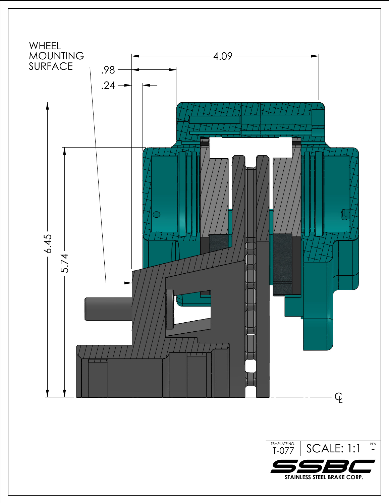